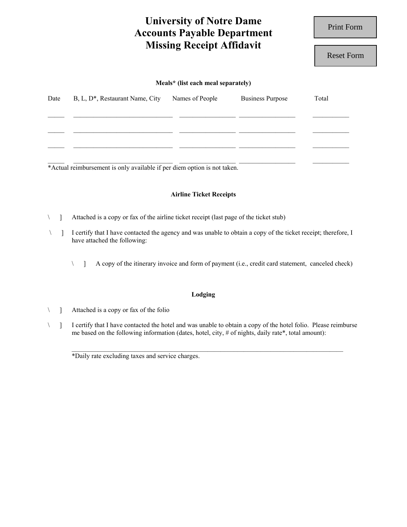# **University of Notre Dame Accounts Payable Department Missing Receipt Affidavit**

Print Form

Reset Form

### **Meals\* (list each meal separately)**

| Date | B, L, D <sup>*</sup> , Restaurant Name, City | Names of People                                                                                               | <b>Business Purpose</b> | Total |
|------|----------------------------------------------|---------------------------------------------------------------------------------------------------------------|-------------------------|-------|
|      |                                              |                                                                                                               |                         |       |
|      |                                              |                                                                                                               |                         |       |
| .    | .                                            | restricted to the contract of the contract of the contract of the contract of the contract of the contract of |                         |       |

\*Actual reimbursement is only available if per diem option is not taken.

# **Airline Ticket Receipts**

\ ] Attached is a copy or fax of the airline ticket receipt (last page of the ticket stub)

- \ ] I certify that I have contacted the agency and was unable to obtain a copy of the ticket receipt; therefore, I have attached the following:
	- \ ] A copy of the itinerary invoice and form of payment (i.e., credit card statement, canceled check)

## **Lodging**

\ ] Attached is a copy or fax of the folio

\ ] I certify that I have contacted the hotel and was unable to obtain a copy of the hotel folio. Please reimburse me based on the following information (dates, hotel, city, # of nights, daily rate\*, total amount):

 $\_$  , and the state of the state of the state of the state of the state of the state of the state of the state of the state of the state of the state of the state of the state of the state of the state of the state of the

\*Daily rate excluding taxes and service charges.